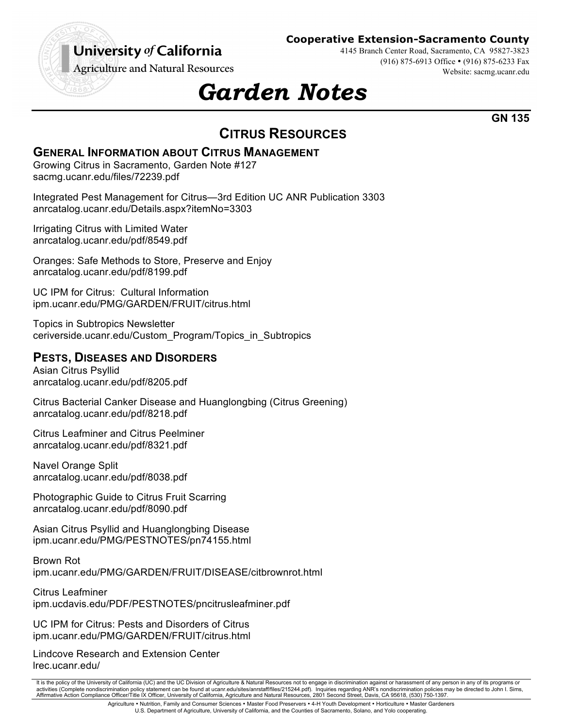## University of California

**Cooperative Extension-Sacramento County**

**Agriculture and Natural Resources** 

4145 Branch Center Road, Sacramento, CA 95827-3823 (916) 875-6913 Office • (916) 875-6233 Fax Website: sacmg.ucanr.edu

# *Garden Notes*

**GN 135**

### **CITRUS RESOURCES**

#### **GENERAL INFORMATION ABOUT CITRUS MANAGEMENT**

Growing Citrus in Sacramento, Garden Note #127 sacmg.ucanr.edu/files/72239.pdf

Integrated Pest Management for Citrus—3rd Edition UC ANR Publication 3303 anrcatalog.ucanr.edu/Details.aspx?itemNo=3303

Irrigating Citrus with Limited Water anrcatalog.ucanr.edu/pdf/8549.pdf

Oranges: Safe Methods to Store, Preserve and Enjoy anrcatalog.ucanr.edu/pdf/8199.pdf

UC IPM for Citrus: Cultural Information ipm.ucanr.edu/PMG/GARDEN/FRUIT/citrus.html

Topics in Subtropics Newsletter ceriverside.ucanr.edu/Custom\_Program/Topics\_in\_Subtropics

#### **PESTS, DISEASES AND DISORDERS**

Asian Citrus Psyllid anrcatalog.ucanr.edu/pdf/8205.pdf

Citrus Bacterial Canker Disease and Huanglongbing (Citrus Greening) anrcatalog.ucanr.edu/pdf/8218.pdf

Citrus Leafminer and Citrus Peelminer anrcatalog.ucanr.edu/pdf/8321.pdf

Navel Orange Split anrcatalog.ucanr.edu/pdf/8038.pdf

Photographic Guide to Citrus Fruit Scarring anrcatalog.ucanr.edu/pdf/8090.pdf

Asian Citrus Psyllid and Huanglongbing Disease ipm.ucanr.edu/PMG/PESTNOTES/pn74155.html

Brown Rot ipm.ucanr.edu/PMG/GARDEN/FRUIT/DISEASE/citbrownrot.html

Citrus Leafminer ipm.ucdavis.edu/PDF/PESTNOTES/pncitrusleafminer.pdf

UC IPM for Citrus: Pests and Disorders of Citrus ipm.ucanr.edu/PMG/GARDEN/FRUIT/citrus.html

Lindcove Research and Extension Center lrec.ucanr.edu/

It is the policy of the University of California (UC) and the UC Division of Agriculture & Natural Resources not to engage in discrimination against or harassment of any person in any of its programs or activities (Complete nondiscrimination policy statement can be found at ucanr.edu/sites/anrstaff/files/215244.pdf). Inquiries regarding ANR's nondiscrimination policies may be directed to John I. Sims, Affirmative Action Compliance Officer/Title IX Officer, University of California, Agriculture and Natural Resources, 2801 Second Street, Davis, CA 95618, (530) 750-1397.